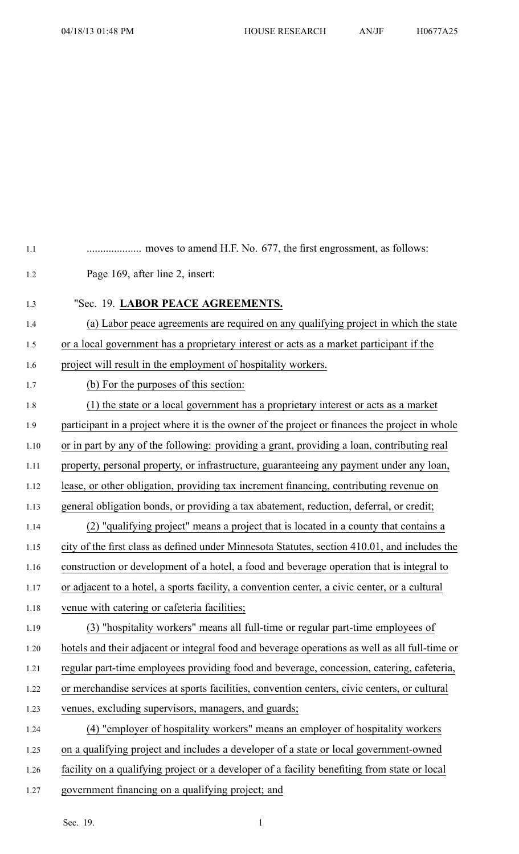| 1.1  |                                                                                                |
|------|------------------------------------------------------------------------------------------------|
|      |                                                                                                |
| 1.2  | Page 169, after line 2, insert:                                                                |
| 1.3  | "Sec. 19. LABOR PEACE AGREEMENTS.                                                              |
| 1.4  | (a) Labor peace agreements are required on any qualifying project in which the state           |
| 1.5  | or a local government has a proprietary interest or acts as a market participant if the        |
| 1.6  | project will result in the employment of hospitality workers.                                  |
| 1.7  | (b) For the purposes of this section:                                                          |
| 1.8  | (1) the state or a local government has a proprietary interest or acts as a market             |
| 1.9  | participant in a project where it is the owner of the project or finances the project in whole |
| 1.10 | or in part by any of the following: providing a grant, providing a loan, contributing real     |
| 1.11 | property, personal property, or infrastructure, guaranteeing any payment under any loan,       |
| 1.12 | lease, or other obligation, providing tax increment financing, contributing revenue on         |
| 1.13 | general obligation bonds, or providing a tax abatement, reduction, deferral, or credit;        |
| 1.14 | (2) "qualifying project" means a project that is located in a county that contains a           |
| 1.15 | city of the first class as defined under Minnesota Statutes, section 410.01, and includes the  |
| 1.16 | construction or development of a hotel, a food and beverage operation that is integral to      |
| 1.17 | or adjacent to a hotel, a sports facility, a convention center, a civic center, or a cultural  |
| 1.18 | venue with catering or cafeteria facilities;                                                   |
| 1.19 | (3) "hospitality workers" means all full-time or regular part-time employees of                |
| 1.20 | hotels and their adjacent or integral food and beverage operations as well as all full-time or |
| 1.21 | regular part-time employees providing food and beverage, concession, catering, cafeteria,      |
| 1.22 | or merchandise services at sports facilities, convention centers, civic centers, or cultural   |
| 1.23 | venues, excluding supervisors, managers, and guards;                                           |
| 1.24 | (4) "employer of hospitality workers" means an employer of hospitality workers                 |
| 1.25 | on a qualifying project and includes a developer of a state or local government-owned          |
| 1.26 | facility on a qualifying project or a developer of a facility benefiting from state or local   |
| 1.27 | government financing on a qualifying project; and                                              |